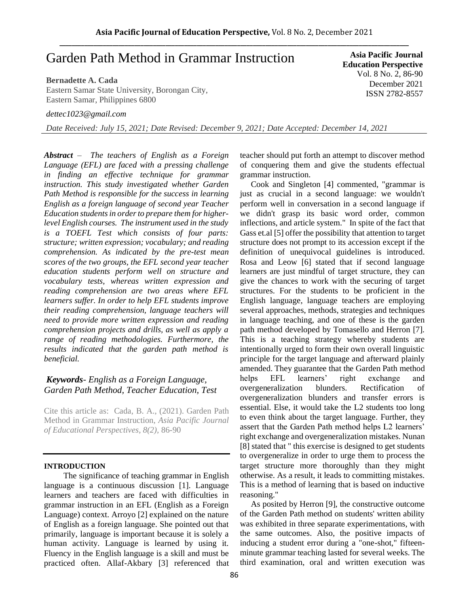# Garden Path Method in Grammar Instruction

## **Bernadette A. Cada**

Eastern Samar State University, Borongan City, Eastern Samar, Philippines 6800

*dettec1023@gmail.com*

*Date Received: July 15, 2021; Date Revised: December 9, 2021; Date Accepted: December 14, 2021*

*Abstract – The teachers of English as a Foreign Language (EFL) are faced with a pressing challenge in finding an effective technique for grammar instruction. This study investigated whether Garden Path Method is responsible for the success in learning English as a foreign language of second year Teacher Education students in order to prepare them for higherlevel English courses. The instrument used in the study is a TOEFL Test which consists of four parts: structure; written expression; vocabulary; and reading comprehension. As indicated by the pre-test mean scores of the two groups, the EFL second year teacher education students perform well on structure and vocabulary tests, whereas written expression and reading comprehension are two areas where EFL learners suffer. In order to help EFL students improve their reading comprehension, language teachers will need to provide more written expression and reading comprehension projects and drills, as well as apply a range of reading methodologies. Furthermore, the results indicated that the garden path method is beneficial.*

# *Keywords*- *English as a Foreign Language, Garden Path Method, Teacher Education, Test*

Cite this article as: Cada, B. A., (2021). Garden Path Method in Grammar Instruction, *Asia Pacific Journal of Educational Perspectives, 8(2),* 86-90

# **INTRODUCTION**

The significance of teaching grammar in English language is a continuous discussion [1]. Language learners and teachers are faced with difficulties in grammar instruction in an EFL (English as a Foreign Language) context. Arroyo [2] explained on the nature of English as a foreign language. She pointed out that primarily, language is important because it is solely a human activity. Language is learned by using it. Fluency in the English language is a skill and must be practiced often. Allaf-Akbary [3] referenced that

**Asia Pacific Journal Education Perspective** Vol. 8 No. 2, 86-90 December 2021 ISSN 2782-8557

teacher should put forth an attempt to discover method of conquering them and give the students effectual grammar instruction.

Cook and Singleton [4] commented, "grammar is just as crucial in a second language: we wouldn't perform well in conversation in a second language if we didn't grasp its basic word order, common inflections, and article system." In spite of the fact that Gass et.al [5] offer the possibility that attention to target structure does not prompt to its accession except if the definition of unequivocal guidelines is introduced. Rosa and Leow [6] stated that if second language learners are just mindful of target structure, they can give the chances to work with the securing of target structures. For the students to be proficient in the English language, language teachers are employing several approaches, methods, strategies and techniques in language teaching, and one of these is the garden path method developed by Tomasello and Herron [7]. This is a teaching strategy whereby students are intentionally urged to form their own overall linguistic principle for the target language and afterward plainly amended. They guarantee that the Garden Path method helps EFL learners' right exchange and overgeneralization blunders. Rectification of overgeneralization blunders and transfer errors is essential. Else, it would take the L2 students too long to even think about the target language. Further, they assert that the Garden Path method helps L2 learners' right exchange and overgeneralization mistakes. Nunan [8] stated that " this exercise is designed to get students to overgeneralize in order to urge them to process the target structure more thoroughly than they might otherwise. As a result, it leads to committing mistakes. This is a method of learning that is based on inductive reasoning."

As posited by Herron [9], the constructive outcome of the Garden Path method on students' written ability was exhibited in three separate experimentations, with the same outcomes. Also, the positive impacts of inducing a student error during a "one-shot," fifteenminute grammar teaching lasted for several weeks. The third examination, oral and written execution was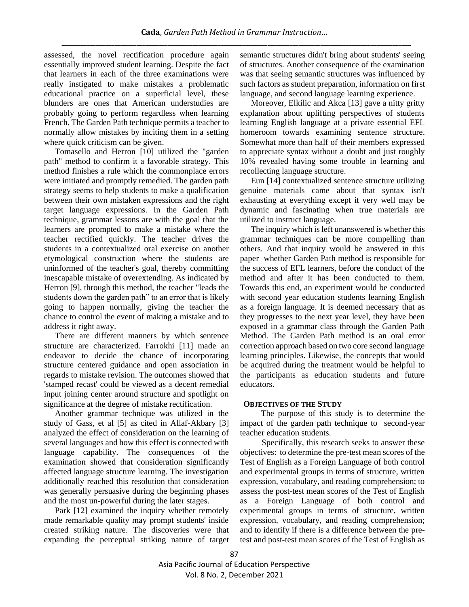assessed, the novel rectification procedure again essentially improved student learning. Despite the fact that learners in each of the three examinations were really instigated to make mistakes a problematic educational practice on a superficial level, these blunders are ones that American understudies are probably going to perform regardless when learning French. The Garden Path technique permits a teacher to normally allow mistakes by inciting them in a setting where quick criticism can be given.

Tomasello and Herron [10] utilized the "garden path" method to confirm it a favorable strategy. This method finishes a rule which the commonplace errors were initiated and promptly remedied. The garden path strategy seems to help students to make a qualification between their own mistaken expressions and the right target language expressions. In the Garden Path technique, grammar lessons are with the goal that the learners are prompted to make a mistake where the teacher rectified quickly. The teacher drives the students in a contextualized oral exercise on another etymological construction where the students are uninformed of the teacher's goal, thereby committing inescapable mistake of overextending. As indicated by Herron [9], through this method, the teacher "leads the students down the garden path" to an error that is likely going to happen normally, giving the teacher the chance to control the event of making a mistake and to address it right away.

There are different manners by which sentence structure are characterized. Farrokhi [11] made an endeavor to decide the chance of incorporating structure centered guidance and open association in regards to mistake revision. The outcomes showed that 'stamped recast' could be viewed as a decent remedial input joining center around structure and spotlight on significance at the degree of mistake rectification.

Another grammar technique was utilized in the study of Gass, et al [5] as cited in Allaf-Akbary [3] analyzed the effect of consideration on the learning of several languages and how this effect is connected with language capability. The consequences of the examination showed that consideration significantly affected language structure learning. The investigation additionally reached this resolution that consideration was generally persuasive during the beginning phases and the most un-powerful during the later stages.

Park [12] examined the inquiry whether remotely made remarkable quality may prompt students' inside created striking nature. The discoveries were that expanding the perceptual striking nature of target semantic structures didn't bring about students' seeing of structures. Another consequence of the examination was that seeing semantic structures was influenced by such factors as student preparation, information on first language, and second language learning experience.

Moreover, Elkilic and Akca [13] gave a nitty gritty explanation about uplifting perspectives of students learning English language at a private essential EFL homeroom towards examining sentence structure. Somewhat more than half of their members expressed to appreciate syntax without a doubt and just roughly 10% revealed having some trouble in learning and recollecting language structure.

Eun [14] contextualized sentence structure utilizing genuine materials came about that syntax isn't exhausting at everything except it very well may be dynamic and fascinating when true materials are utilized to instruct language.

The inquiry which is left unanswered is whether this grammar techniques can be more compelling than others. And that inquiry would be answered in this paper whether Garden Path method is responsible for the success of EFL learners, before the conduct of the method and after it has been conducted to them. Towards this end, an experiment would be conducted with second year education students learning English as a foreign language. It is deemed necessary that as they progresses to the next year level, they have been exposed in a grammar class through the Garden Path Method. The Garden Path method is an oral error correction approach based on two core second language learning principles. Likewise, the concepts that would be acquired during the treatment would be helpful to the participants as education students and future educators.

# **OBJECTIVES OF THE STUDY**

 The purpose of this study is to determine the impact of the garden path technique to second-year teacher education students.

Specifically, this research seeks to answer these objectives: to determine the pre-test mean scores of the Test of English as a Foreign Language of both control and experimental groups in terms of structure, written expression, vocabulary, and reading comprehension; to assess the post-test mean scores of the Test of English as a Foreign Language of both control and experimental groups in terms of structure, written expression, vocabulary, and reading comprehension; and to identify if there is a difference between the pretest and post-test mean scores of the Test of English as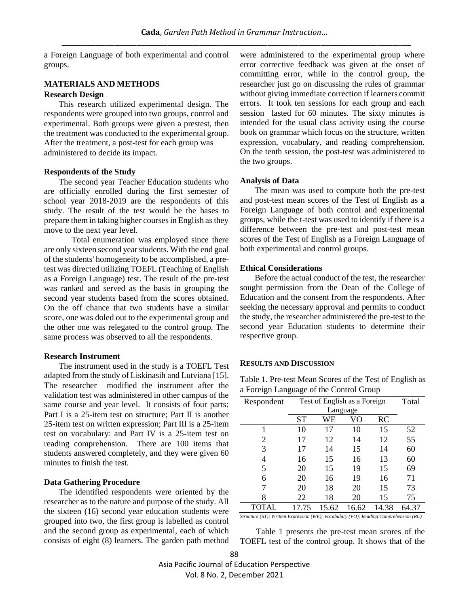a Foreign Language of both experimental and control groups.

# **MATERIALS AND METHODS Research Design**

 This research utilized experimental design. The respondents were grouped into two groups, control and experimental. Both groups were given a prestest, then the treatment was conducted to the experimental group. After the treatment, a post-test for each group was administered to decide its impact.

### **Respondents of the Study**

 The second year Teacher Education students who are officially enrolled during the first semester of school year 2018-2019 are the respondents of this study. The result of the test would be the bases to prepare them in taking higher courses in English as they move to the next year level.

Total enumeration was employed since there are only sixteen second year students. With the end goal of the students' homogeneity to be accomplished, a pretest was directed utilizing TOEFL (Teaching of English as a Foreign Language) test. The result of the pre-test was ranked and served as the basis in grouping the second year students based from the scores obtained. On the off chance that two students have a similar score, one was doled out to the experimental group and the other one was relegated to the control group. The same process was observed to all the respondents.

#### **Research Instrument**

 The instrument used in the study is a TOEFL Test adapted from the study of Liskinasih and Lutviana [15]. The researcher modified the instrument after the validation test was administered in other campus of the same course and year level. It consists of four parts: Part I is a 25-item test on structure; Part II is another 25-item test on written expression; Part III is a 25-item test on vocabulary: and Part IV is a 25-item test on reading comprehension. There are 100 items that students answered completely, and they were given 60 minutes to finish the test.

## **Data Gathering Procedure**

 The identified respondents were oriented by the researcher as to the nature and purpose of the study. All the sixteen (16) second year education students were grouped into two, the first group is labelled as control and the second group as experimental, each of which consists of eight (8) learners. The garden path method were administered to the experimental group where error corrective feedback was given at the onset of committing error, while in the control group, the researcher just go on discussing the rules of grammar without giving immediate correction if learners commit errors. It took ten sessions for each group and each session lasted for 60 minutes. The sixty minutes is intended for the usual class activity using the course book on grammar which focus on the structure, written expression, vocabulary, and reading comprehension. On the tenth session, the post-test was administered to the two groups.

## **Analysis of Data**

 The mean was used to compute both the pre-test and post-test mean scores of the Test of English as a Foreign Language of both control and experimental groups, while the t-test was used to identify if there is a difference between the pre-test and post-test mean scores of the Test of English as a Foreign Language of both experimental and control groups.

#### **Ethical Considerations**

 Before the actual conduct of the test, the researcher sought permission from the Dean of the College of Education and the consent from the respondents. After seeking the necessary approval and permits to conduct the study, the researcher administered the pre-test to the second year Education students to determine their respective group.

#### **RESULTS AND DISCUSSION**

Table 1. Pre-test Mean Scores of the Test of English as a Foreign Language of the Control Group

| Respondent   |       | Test of English as a Foreign |       |       |       |
|--------------|-------|------------------------------|-------|-------|-------|
|              |       | Language                     |       |       |       |
|              | ST    | WЕ                           | VО    | RC    |       |
|              | 10    | 17                           | 10    | 15    | 52    |
| 2            | 17    | 12                           | 14    | 12    | 55    |
| 3            | 17    | 14                           | 15    | 14    | 60    |
| 4            | 16    | 15                           | 16    | 13    | 60    |
| 5            | 20    | 15                           | 19    | 15    | 69    |
| 6            | 20    | 16                           | 19    | 16    | 71    |
|              | 20    | 18                           | 20    | 15    | 73    |
|              | 22    | 18                           | 20    | 15    | 75    |
| <b>TOTAL</b> | 17.75 | 15.62                        | 16.62 | 14.38 | 64.37 |

*Structure (ST); Written Expression (WE); Vocabulary (VO); Reading Comprehension (RC)*

Table 1 presents the pre-test mean scores of the TOEFL test of the control group. It shows that of the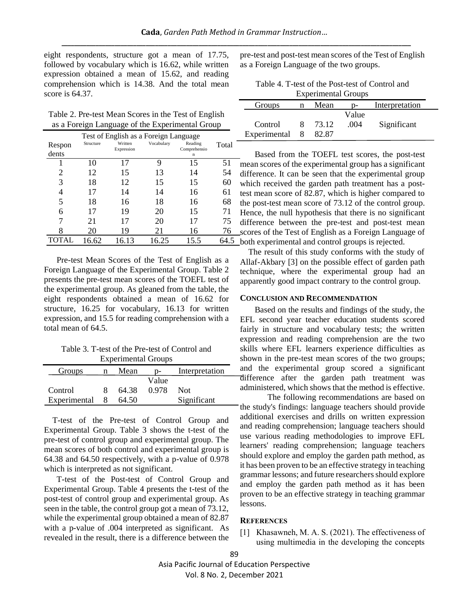eight respondents, structure got a mean of 17.75, followed by vocabulary which is 16.62, while written expression obtained a mean of 15.62, and reading comprehension which is 14.38. And the total mean score is 64.37.

Table 2. Pre-test Mean Scores in the Test of English as a Foreign Language of the Experimental Group

| Respon<br>dents | Structure | Test of English as a Foreign Language<br>Written<br>Expression | Vocabulary | Reading<br>Comprehensio<br>n | Total |
|-----------------|-----------|----------------------------------------------------------------|------------|------------------------------|-------|
|                 | 10        | 17                                                             | 9          | 15                           | 51    |
| 2               | 12        | 15                                                             | 13         | 14                           | 54    |
| 3               | 18        | 12                                                             | 15         | 15                           | 60    |
| 4               | 17        | 14                                                             | 14         | 16                           | 61    |
| 5               | 18        | 16                                                             | 18         | 16                           | 68    |
| 6               | 17        | 19                                                             | 20         | 15                           | 71    |
| 7               | 21        | 17                                                             | 20         | 17                           | 75    |
| 8               | 20        | 19                                                             | 21         | 16                           | 76    |
| <b>TOTAL</b>    | 16.62     | 16.13                                                          | 16.25      | 15.5                         | 64.5  |

 Pre-test Mean Scores of the Test of English as a Foreign Language of the Experimental Group. Table 2 presents the pre-test mean scores of the TOEFL test of the experimental group. As gleaned from the table, the eight respondents obtained a mean of 16.62 for structure, 16.25 for vocabulary, 16.13 for written expression, and 15.5 for reading comprehension with a total mean of 64.5.

Table 3. T-test of the Pre-test of Control and Experimental Groups

| Groups       | n | Mean  |       | Interpretation |
|--------------|---|-------|-------|----------------|
|              |   |       | Value |                |
| Control      |   | 64.38 | 0.978 | <b>Not</b>     |
| Experimental |   | 64.50 |       | Significant    |

T-test of the Pre-test of Control Group and Experimental Group. Table 3 shows the t-test of the pre-test of control group and experimental group. The mean scores of both control and experimental group is 64.38 and 64.50 respectively, with a p-value of 0.978 which is interpreted as not significant.

 T-test of the Post-test of Control Group and Experimental Group. Table 4 presents the t-test of the post-test of control group and experimental group. As seen in the table, the control group got a mean of 73.12, while the experimental group obtained a mean of 82.87 with a p-value of .004 interpreted as significant. As revealed in the result, there is a difference between the pre-test and post-test mean scores of the Test of English as a Foreign Language of the two groups.

| Table 4. T-test of the Post-test of Control and |
|-------------------------------------------------|
| <b>Experimental Groups</b>                      |

| Groups         | n  | Mean  |       | Interpretation |  |
|----------------|----|-------|-------|----------------|--|
|                |    |       | Value |                |  |
| Control        | 8. | 73.12 | .004  | Significant    |  |
| Experimental 8 |    | 82.87 |       |                |  |

 Based from the TOEFL test scores, the post-test mean scores of the experimental group has a significant difference. It can be seen that the experimental group which received the garden path treatment has a posttest mean score of 82.87, which is higher compared to the post-test mean score of 73.12 of the control group. Hence, the null hypothesis that there is no significant difference between the pre-test and post-test mean scores of the Test of English as a Foreign Language of both experimental and control groups is rejected.

 The result of this study conforms with the study of Allaf-Akbary [3] on the possible effect of garden path technique, where the experimental group had an apparently good impact contrary to the control group.

#### **CONCLUSION AND RECOMMENDATION**

 Based on the results and findings of the study, the EFL second year teacher education students scored fairly in structure and vocabulary tests; the written expression and reading comprehension are the two skills where EFL learners experience difficulties as shown in the pre-test mean scores of the two groups; and the experimental group scored a significant difference after the garden path treatment was administered, which shows that the method is effective.

The following recommendations are based on the study's findings: language teachers should provide additional exercises and drills on written expression and reading comprehension; language teachers should use various reading methodologies to improve EFL learners' reading comprehension; language teachers should explore and employ the garden path method, as it has been proven to be an effective strategy in teaching grammar lessons; and future researchers should explore and employ the garden path method as it has been proven to be an effective strategy in teaching grammar lessons.

#### **REFERENCES**

[1] Khasawneh, M. A. S. (2021). The effectiveness of using multimedia in the developing the concepts